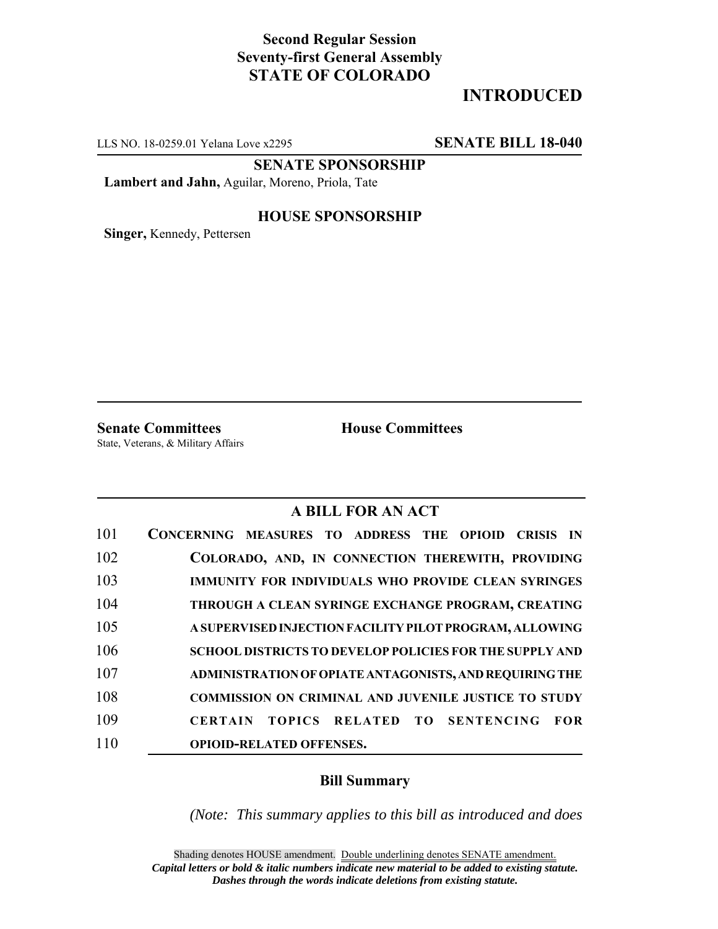## **Second Regular Session Seventy-first General Assembly STATE OF COLORADO**

# **INTRODUCED**

LLS NO. 18-0259.01 Yelana Love x2295 **SENATE BILL 18-040**

**SENATE SPONSORSHIP**

**Lambert and Jahn,** Aguilar, Moreno, Priola, Tate

### **HOUSE SPONSORSHIP**

**Singer,** Kennedy, Pettersen

**Senate Committees House Committees** 

State, Veterans, & Military Affairs

### **A BILL FOR AN ACT**

| 101 | CONCERNING MEASURES TO ADDRESS THE OPIOID CRISIS IN                    |
|-----|------------------------------------------------------------------------|
| 102 | COLORADO, AND, IN CONNECTION THEREWITH, PROVIDING                      |
| 103 | IMMUNITY FOR INDIVIDUALS WHO PROVIDE CLEAN SYRINGES                    |
| 104 | THROUGH A CLEAN SYRINGE EXCHANGE PROGRAM, CREATING                     |
| 105 | A SUPERVISED INJECTION FACILITY PILOT PROGRAM, ALLOWING                |
| 106 | <b>SCHOOL DISTRICTS TO DEVELOP POLICIES FOR THE SUPPLY AND</b>         |
| 107 | ADMINISTRATION OF OPIATE ANTAGONISTS, AND REQUIRING THE                |
| 108 | <b>COMMISSION ON CRIMINAL AND JUVENILE JUSTICE TO STUDY</b>            |
| 109 | TOPICS RELATED TO<br><b>SENTENCING</b><br><b>CERTAIN</b><br><b>FOR</b> |
| 110 | <b>OPIOID-RELATED OFFENSES.</b>                                        |

### **Bill Summary**

*(Note: This summary applies to this bill as introduced and does*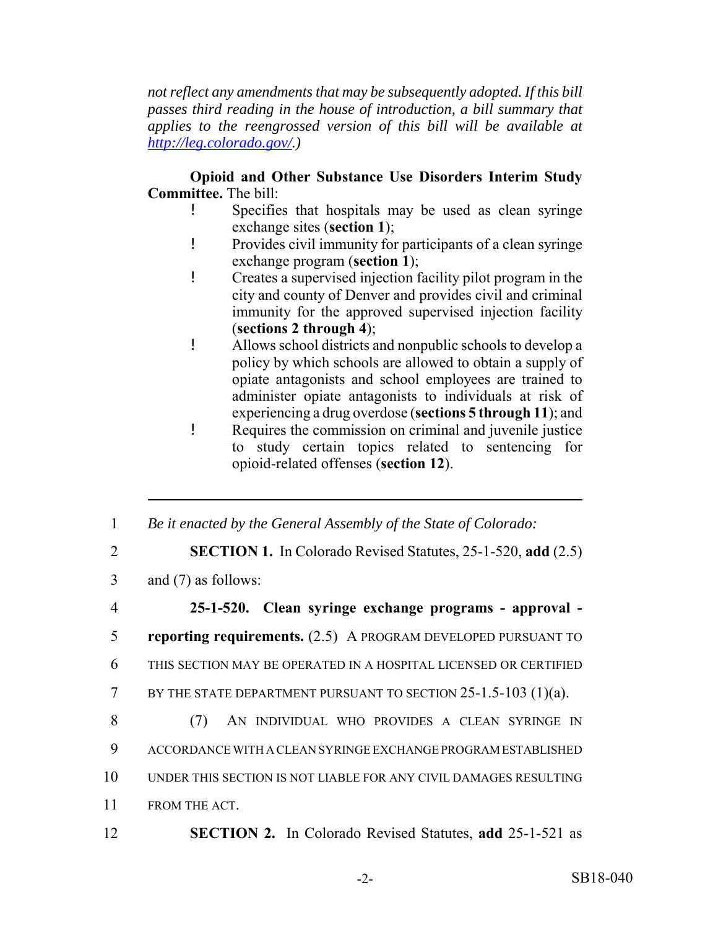*not reflect any amendments that may be subsequently adopted. If this bill passes third reading in the house of introduction, a bill summary that applies to the reengrossed version of this bill will be available at http://leg.colorado.gov/.)*

**Opioid and Other Substance Use Disorders Interim Study Committee.** The bill:

- Specifies that hospitals may be used as clean syringe exchange sites (**section 1**);
- ! Provides civil immunity for participants of a clean syringe exchange program (**section 1**);
- ! Creates a supervised injection facility pilot program in the city and county of Denver and provides civil and criminal immunity for the approved supervised injection facility (**sections 2 through 4**);
- ! Allows school districts and nonpublic schools to develop a policy by which schools are allowed to obtain a supply of opiate antagonists and school employees are trained to administer opiate antagonists to individuals at risk of experiencing a drug overdose (**sections 5 through 11**); and
- ! Requires the commission on criminal and juvenile justice to study certain topics related to sentencing for opioid-related offenses (**section 12**).

1 *Be it enacted by the General Assembly of the State of Colorado:*

- 2 **SECTION 1.** In Colorado Revised Statutes, 25-1-520, **add** (2.5)
- 3 and (7) as follows:
- 4 **25-1-520. Clean syringe exchange programs approval -** 5 **reporting requirements.** (2.5) A PROGRAM DEVELOPED PURSUANT TO 6 THIS SECTION MAY BE OPERATED IN A HOSPITAL LICENSED OR CERTIFIED 7 BY THE STATE DEPARTMENT PURSUANT TO SECTION 25-1.5-103 (1)(a). 8 (7) AN INDIVIDUAL WHO PROVIDES A CLEAN SYRINGE IN 9 ACCORDANCE WITH A CLEAN SYRINGE EXCHANGE PROGRAM ESTABLISHED 10 UNDER THIS SECTION IS NOT LIABLE FOR ANY CIVIL DAMAGES RESULTING 11 FROM THE ACT. 12 **SECTION 2.** In Colorado Revised Statutes, **add** 25-1-521 as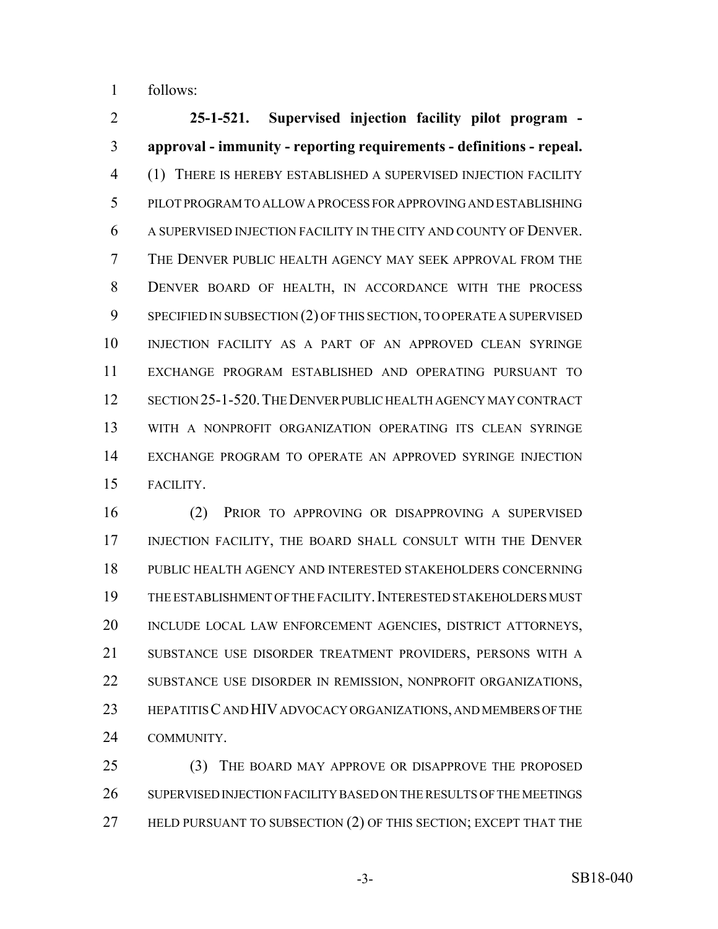follows:

 **25-1-521. Supervised injection facility pilot program - approval - immunity - reporting requirements - definitions - repeal.** (1) THERE IS HEREBY ESTABLISHED A SUPERVISED INJECTION FACILITY PILOT PROGRAM TO ALLOW A PROCESS FOR APPROVING AND ESTABLISHING A SUPERVISED INJECTION FACILITY IN THE CITY AND COUNTY OF DENVER. THE DENVER PUBLIC HEALTH AGENCY MAY SEEK APPROVAL FROM THE DENVER BOARD OF HEALTH, IN ACCORDANCE WITH THE PROCESS SPECIFIED IN SUBSECTION (2) OF THIS SECTION, TO OPERATE A SUPERVISED INJECTION FACILITY AS A PART OF AN APPROVED CLEAN SYRINGE EXCHANGE PROGRAM ESTABLISHED AND OPERATING PURSUANT TO SECTION 25-1-520.THE DENVER PUBLIC HEALTH AGENCY MAY CONTRACT WITH A NONPROFIT ORGANIZATION OPERATING ITS CLEAN SYRINGE EXCHANGE PROGRAM TO OPERATE AN APPROVED SYRINGE INJECTION FACILITY.

 (2) PRIOR TO APPROVING OR DISAPPROVING A SUPERVISED INJECTION FACILITY, THE BOARD SHALL CONSULT WITH THE DENVER PUBLIC HEALTH AGENCY AND INTERESTED STAKEHOLDERS CONCERNING THE ESTABLISHMENT OF THE FACILITY.INTERESTED STAKEHOLDERS MUST INCLUDE LOCAL LAW ENFORCEMENT AGENCIES, DISTRICT ATTORNEYS, SUBSTANCE USE DISORDER TREATMENT PROVIDERS, PERSONS WITH A SUBSTANCE USE DISORDER IN REMISSION, NONPROFIT ORGANIZATIONS, HEPATITIS C AND HIV ADVOCACY ORGANIZATIONS, AND MEMBERS OF THE COMMUNITY.

 (3) THE BOARD MAY APPROVE OR DISAPPROVE THE PROPOSED SUPERVISED INJECTION FACILITY BASED ON THE RESULTS OF THE MEETINGS 27 HELD PURSUANT TO SUBSECTION (2) OF THIS SECTION; EXCEPT THAT THE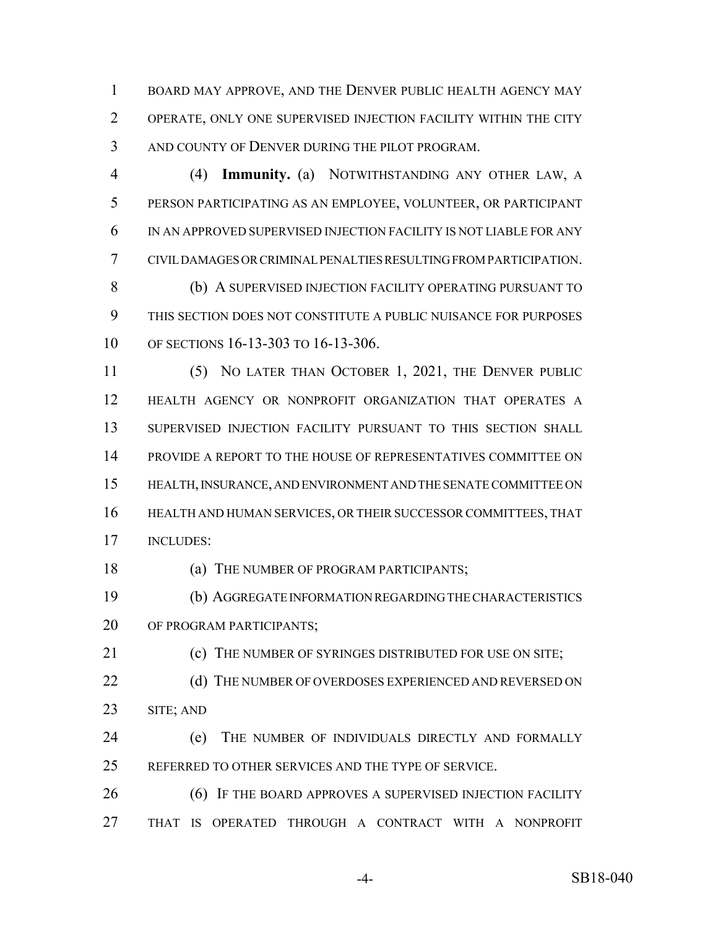BOARD MAY APPROVE, AND THE DENVER PUBLIC HEALTH AGENCY MAY OPERATE, ONLY ONE SUPERVISED INJECTION FACILITY WITHIN THE CITY AND COUNTY OF DENVER DURING THE PILOT PROGRAM.

 (4) **Immunity.** (a) NOTWITHSTANDING ANY OTHER LAW, A PERSON PARTICIPATING AS AN EMPLOYEE, VOLUNTEER, OR PARTICIPANT IN AN APPROVED SUPERVISED INJECTION FACILITY IS NOT LIABLE FOR ANY CIVIL DAMAGES OR CRIMINAL PENALTIES RESULTING FROM PARTICIPATION. (b) A SUPERVISED INJECTION FACILITY OPERATING PURSUANT TO THIS SECTION DOES NOT CONSTITUTE A PUBLIC NUISANCE FOR PURPOSES OF SECTIONS 16-13-303 TO 16-13-306.

 (5) NO LATER THAN OCTOBER 1, 2021, THE DENVER PUBLIC HEALTH AGENCY OR NONPROFIT ORGANIZATION THAT OPERATES A SUPERVISED INJECTION FACILITY PURSUANT TO THIS SECTION SHALL PROVIDE A REPORT TO THE HOUSE OF REPRESENTATIVES COMMITTEE ON HEALTH, INSURANCE, AND ENVIRONMENT AND THE SENATE COMMITTEE ON HEALTH AND HUMAN SERVICES, OR THEIR SUCCESSOR COMMITTEES, THAT INCLUDES:

(a) THE NUMBER OF PROGRAM PARTICIPANTS;

 (b) AGGREGATE INFORMATION REGARDING THE CHARACTERISTICS OF PROGRAM PARTICIPANTS;

21 (c) THE NUMBER OF SYRINGES DISTRIBUTED FOR USE ON SITE;

- 22 (d) THE NUMBER OF OVERDOSES EXPERIENCED AND REVERSED ON SITE; AND
- (e) THE NUMBER OF INDIVIDUALS DIRECTLY AND FORMALLY REFERRED TO OTHER SERVICES AND THE TYPE OF SERVICE.
- **(6)** IF THE BOARD APPROVES A SUPERVISED INJECTION FACILITY THAT IS OPERATED THROUGH A CONTRACT WITH A NONPROFIT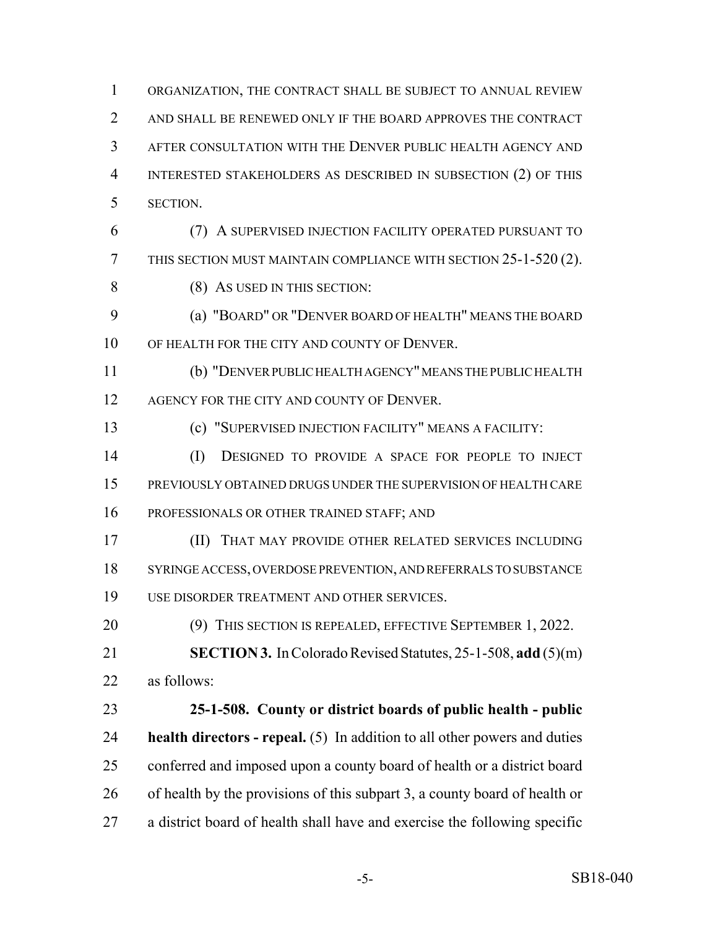ORGANIZATION, THE CONTRACT SHALL BE SUBJECT TO ANNUAL REVIEW 2 AND SHALL BE RENEWED ONLY IF THE BOARD APPROVES THE CONTRACT AFTER CONSULTATION WITH THE DENVER PUBLIC HEALTH AGENCY AND INTERESTED STAKEHOLDERS AS DESCRIBED IN SUBSECTION (2) OF THIS SECTION.

 (7) A SUPERVISED INJECTION FACILITY OPERATED PURSUANT TO THIS SECTION MUST MAINTAIN COMPLIANCE WITH SECTION 25-1-520 (2). 8 (8) AS USED IN THIS SECTION:

 (a) "BOARD" OR "DENVER BOARD OF HEALTH" MEANS THE BOARD 10 OF HEALTH FOR THE CITY AND COUNTY OF DENVER.

 (b) "DENVER PUBLIC HEALTH AGENCY" MEANS THE PUBLIC HEALTH 12 AGENCY FOR THE CITY AND COUNTY OF DENVER.

(c) "SUPERVISED INJECTION FACILITY" MEANS A FACILITY:

 (I) DESIGNED TO PROVIDE A SPACE FOR PEOPLE TO INJECT PREVIOUSLY OBTAINED DRUGS UNDER THE SUPERVISION OF HEALTH CARE PROFESSIONALS OR OTHER TRAINED STAFF; AND

 (II) THAT MAY PROVIDE OTHER RELATED SERVICES INCLUDING SYRINGE ACCESS, OVERDOSE PREVENTION, AND REFERRALS TO SUBSTANCE USE DISORDER TREATMENT AND OTHER SERVICES.

(9) THIS SECTION IS REPEALED, EFFECTIVE SEPTEMBER 1, 2022.

 **SECTION 3.** In Colorado Revised Statutes, 25-1-508, **add** (5)(m) as follows:

 **25-1-508. County or district boards of public health - public health directors - repeal.** (5) In addition to all other powers and duties conferred and imposed upon a county board of health or a district board of health by the provisions of this subpart 3, a county board of health or a district board of health shall have and exercise the following specific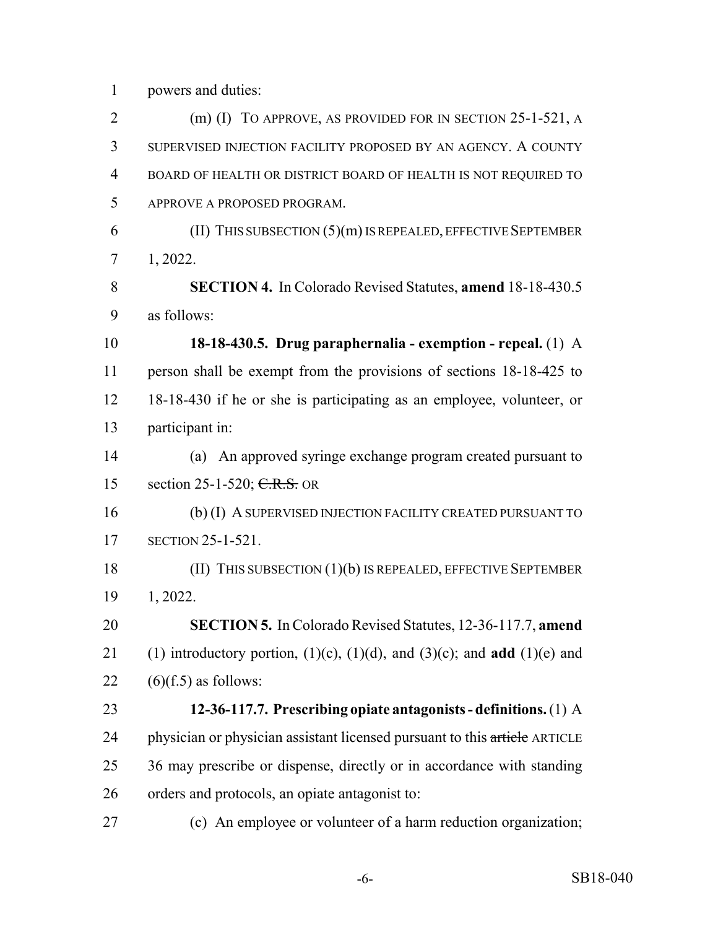powers and duties:

 (m) (I) TO APPROVE, AS PROVIDED FOR IN SECTION 25-1-521, A SUPERVISED INJECTION FACILITY PROPOSED BY AN AGENCY. A COUNTY BOARD OF HEALTH OR DISTRICT BOARD OF HEALTH IS NOT REQUIRED TO APPROVE A PROPOSED PROGRAM. (II) THIS SUBSECTION (5)(m) IS REPEALED, EFFECTIVE SEPTEMBER 1, 2022. **SECTION 4.** In Colorado Revised Statutes, **amend** 18-18-430.5 as follows: **18-18-430.5. Drug paraphernalia - exemption - repeal.** (1) A person shall be exempt from the provisions of sections 18-18-425 to 18-18-430 if he or she is participating as an employee, volunteer, or participant in: (a) An approved syringe exchange program created pursuant to 15 section 25-1-520; C.R.S. OR (b) (I) A SUPERVISED INJECTION FACILITY CREATED PURSUANT TO SECTION 25-1-521. (II) THIS SUBSECTION (1)(b) IS REPEALED, EFFECTIVE SEPTEMBER 1, 2022. **SECTION 5.** In Colorado Revised Statutes, 12-36-117.7, **amend** 21 (1) introductory portion,  $(1)(c)$ ,  $(1)(d)$ , and  $(3)(c)$ ; and **add**  $(1)(e)$  and  $(6)(f.5)$  as follows: **12-36-117.7. Prescribing opiate antagonists - definitions.** (1) A 24 physician or physician assistant licensed pursuant to this article ARTICLE 25 36 may prescribe or dispense, directly or in accordance with standing orders and protocols, an opiate antagonist to: (c) An employee or volunteer of a harm reduction organization;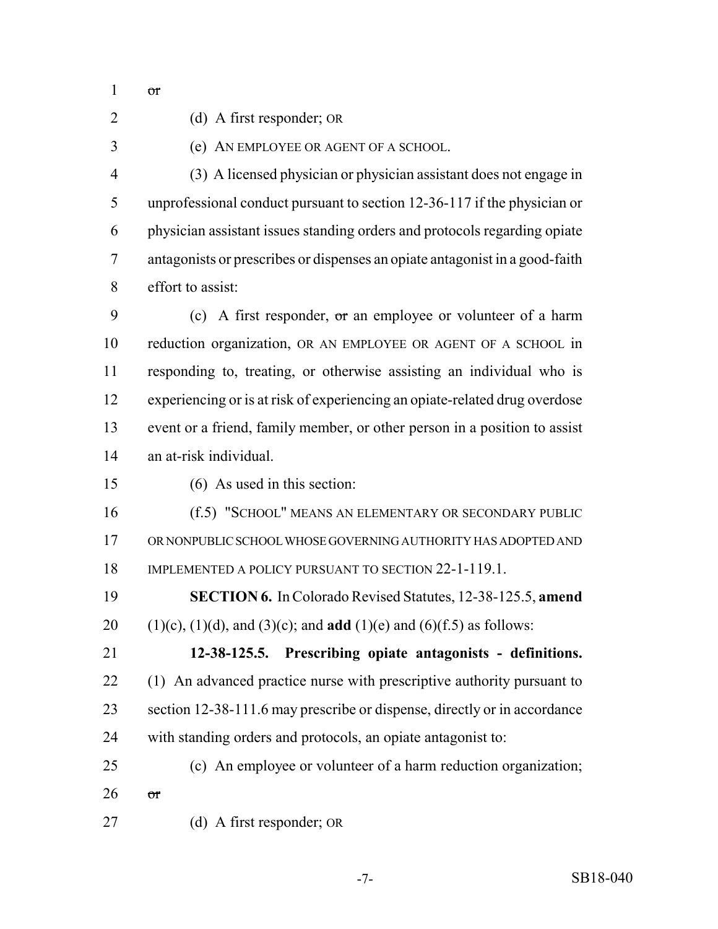or

(d) A first responder; OR

(e) AN EMPLOYEE OR AGENT OF A SCHOOL.

 (3) A licensed physician or physician assistant does not engage in unprofessional conduct pursuant to section 12-36-117 if the physician or physician assistant issues standing orders and protocols regarding opiate antagonists or prescribes or dispenses an opiate antagonist in a good-faith effort to assist:

9 (c) A first responder, or an employee or volunteer of a harm reduction organization, OR AN EMPLOYEE OR AGENT OF A SCHOOL in responding to, treating, or otherwise assisting an individual who is experiencing or is at risk of experiencing an opiate-related drug overdose event or a friend, family member, or other person in a position to assist an at-risk individual.

(6) As used in this section:

 (f.5) "SCHOOL" MEANS AN ELEMENTARY OR SECONDARY PUBLIC OR NONPUBLIC SCHOOL WHOSE GOVERNING AUTHORITY HAS ADOPTED AND 18 IMPLEMENTED A POLICY PURSUANT TO SECTION 22-1-119.1.

 **SECTION 6.** In Colorado Revised Statutes, 12-38-125.5, **amend** 20 (1)(c), (1)(d), and (3)(c); and **add** (1)(e) and (6)(f.5) as follows:

 **12-38-125.5. Prescribing opiate antagonists - definitions.** 22 (1) An advanced practice nurse with prescriptive authority pursuant to section 12-38-111.6 may prescribe or dispense, directly or in accordance with standing orders and protocols, an opiate antagonist to:

 (c) An employee or volunteer of a harm reduction organization; or

(d) A first responder; OR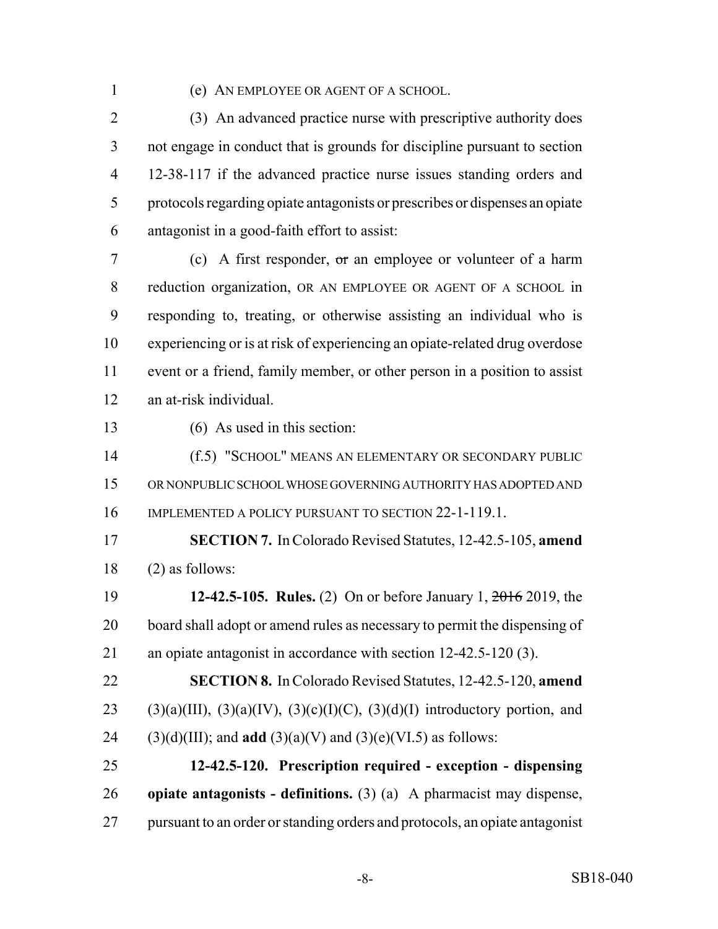#### (e) AN EMPLOYEE OR AGENT OF A SCHOOL.

 (3) An advanced practice nurse with prescriptive authority does not engage in conduct that is grounds for discipline pursuant to section 12-38-117 if the advanced practice nurse issues standing orders and protocols regarding opiate antagonists or prescribes or dispenses an opiate antagonist in a good-faith effort to assist:

 (c) A first responder, or an employee or volunteer of a harm reduction organization, OR AN EMPLOYEE OR AGENT OF A SCHOOL in responding to, treating, or otherwise assisting an individual who is experiencing or is at risk of experiencing an opiate-related drug overdose event or a friend, family member, or other person in a position to assist an at-risk individual.

(6) As used in this section:

 (f.5) "SCHOOL" MEANS AN ELEMENTARY OR SECONDARY PUBLIC OR NONPUBLIC SCHOOL WHOSE GOVERNING AUTHORITY HAS ADOPTED AND IMPLEMENTED A POLICY PURSUANT TO SECTION 22-1-119.1.

 **SECTION 7.** In Colorado Revised Statutes, 12-42.5-105, **amend** (2) as follows:

 **12-42.5-105. Rules.** (2) On or before January 1, 2016 2019, the board shall adopt or amend rules as necessary to permit the dispensing of an opiate antagonist in accordance with section 12-42.5-120 (3).

 **SECTION 8.** In Colorado Revised Statutes, 12-42.5-120, **amend** 23 (3)(a)(III), (3)(a)(IV), (3)(c)(I)(C), (3)(d)(I) introductory portion, and 24 (3)(d)(III); and **add** (3)(a)(V) and (3)(e)(VI.5) as follows:

 **12-42.5-120. Prescription required - exception - dispensing opiate antagonists - definitions.** (3) (a) A pharmacist may dispense, pursuant to an order or standing orders and protocols, an opiate antagonist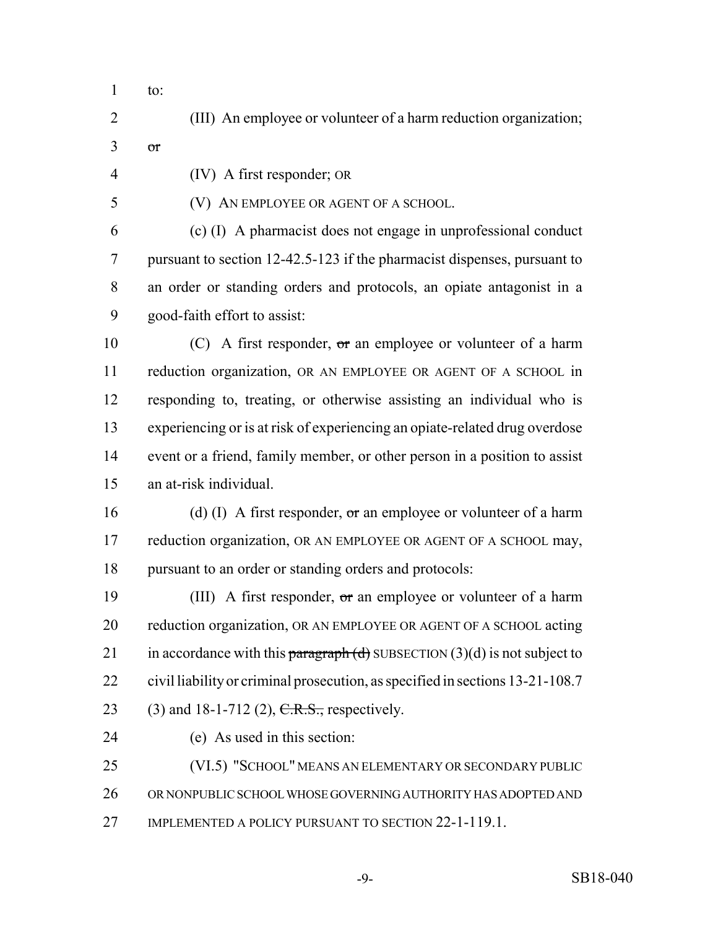- to:
- (III) An employee or volunteer of a harm reduction organization;
- $3 \sigma$

(IV) A first responder; OR

(V) AN EMPLOYEE OR AGENT OF A SCHOOL.

 (c) (I) A pharmacist does not engage in unprofessional conduct pursuant to section 12-42.5-123 if the pharmacist dispenses, pursuant to an order or standing orders and protocols, an opiate antagonist in a good-faith effort to assist:

 $(C)$  A first responder, or an employee or volunteer of a harm reduction organization, OR AN EMPLOYEE OR AGENT OF A SCHOOL in responding to, treating, or otherwise assisting an individual who is experiencing or is at risk of experiencing an opiate-related drug overdose event or a friend, family member, or other person in a position to assist an at-risk individual.

16 (d) (I) A first responder, or an employee or volunteer of a harm 17 reduction organization, OR AN EMPLOYEE OR AGENT OF A SCHOOL may, pursuant to an order or standing orders and protocols:

19 (III) A first responder, or an employee or volunteer of a harm reduction organization, OR AN EMPLOYEE OR AGENT OF A SCHOOL acting 21 in accordance with this paragraph  $(d)$  SUBSECTION  $(3)(d)$  is not subject to civil liability or criminal prosecution, as specified in sections 13-21-108.7 23 (3) and 18-1-712 (2),  $C.R.S.,$  respectively.

(e) As used in this section:

 (VI.5) "SCHOOL" MEANS AN ELEMENTARY OR SECONDARY PUBLIC OR NONPUBLIC SCHOOL WHOSE GOVERNING AUTHORITY HAS ADOPTED AND 27 IMPLEMENTED A POLICY PURSUANT TO SECTION 22-1-119.1.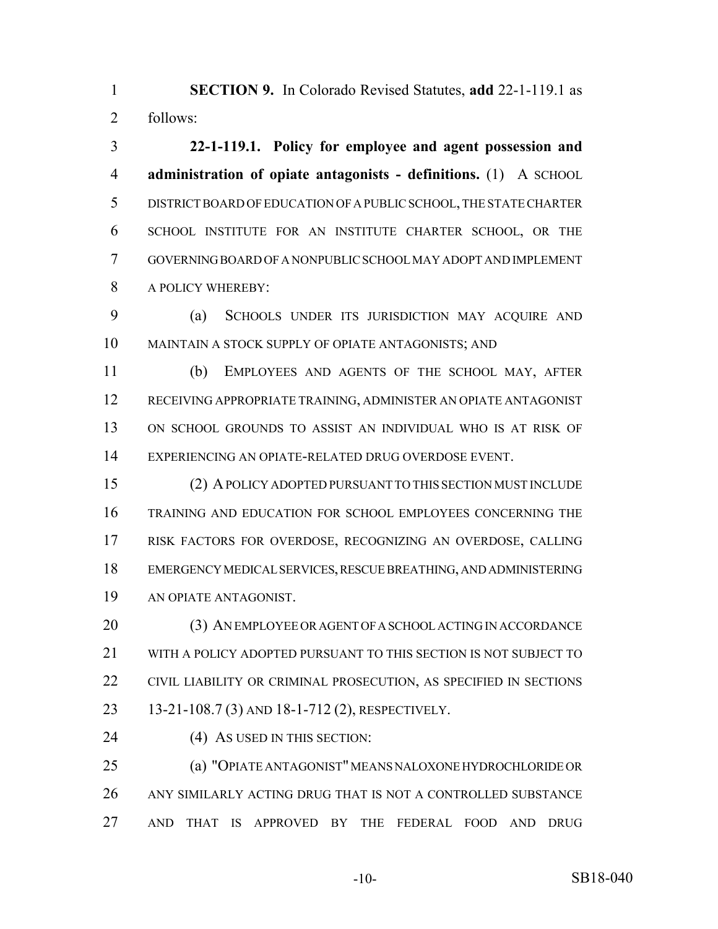**SECTION 9.** In Colorado Revised Statutes, **add** 22-1-119.1 as follows:

 **22-1-119.1. Policy for employee and agent possession and administration of opiate antagonists - definitions.** (1) A SCHOOL DISTRICT BOARD OF EDUCATION OF A PUBLIC SCHOOL, THE STATE CHARTER SCHOOL INSTITUTE FOR AN INSTITUTE CHARTER SCHOOL, OR THE GOVERNING BOARD OF A NONPUBLIC SCHOOL MAY ADOPT AND IMPLEMENT A POLICY WHEREBY:

 (a) SCHOOLS UNDER ITS JURISDICTION MAY ACQUIRE AND MAINTAIN A STOCK SUPPLY OF OPIATE ANTAGONISTS; AND

 (b) EMPLOYEES AND AGENTS OF THE SCHOOL MAY, AFTER RECEIVING APPROPRIATE TRAINING, ADMINISTER AN OPIATE ANTAGONIST ON SCHOOL GROUNDS TO ASSIST AN INDIVIDUAL WHO IS AT RISK OF EXPERIENCING AN OPIATE-RELATED DRUG OVERDOSE EVENT.

 (2) A POLICY ADOPTED PURSUANT TO THIS SECTION MUST INCLUDE TRAINING AND EDUCATION FOR SCHOOL EMPLOYEES CONCERNING THE RISK FACTORS FOR OVERDOSE, RECOGNIZING AN OVERDOSE, CALLING EMERGENCY MEDICAL SERVICES, RESCUE BREATHING, AND ADMINISTERING AN OPIATE ANTAGONIST.

 (3) AN EMPLOYEE OR AGENT OF A SCHOOL ACTING IN ACCORDANCE WITH A POLICY ADOPTED PURSUANT TO THIS SECTION IS NOT SUBJECT TO CIVIL LIABILITY OR CRIMINAL PROSECUTION, AS SPECIFIED IN SECTIONS 13-21-108.7 (3) AND 18-1-712 (2), RESPECTIVELY.

24 (4) AS USED IN THIS SECTION:

 (a) "OPIATE ANTAGONIST" MEANS NALOXONE HYDROCHLORIDE OR ANY SIMILARLY ACTING DRUG THAT IS NOT A CONTROLLED SUBSTANCE AND THAT IS APPROVED BY THE FEDERAL FOOD AND DRUG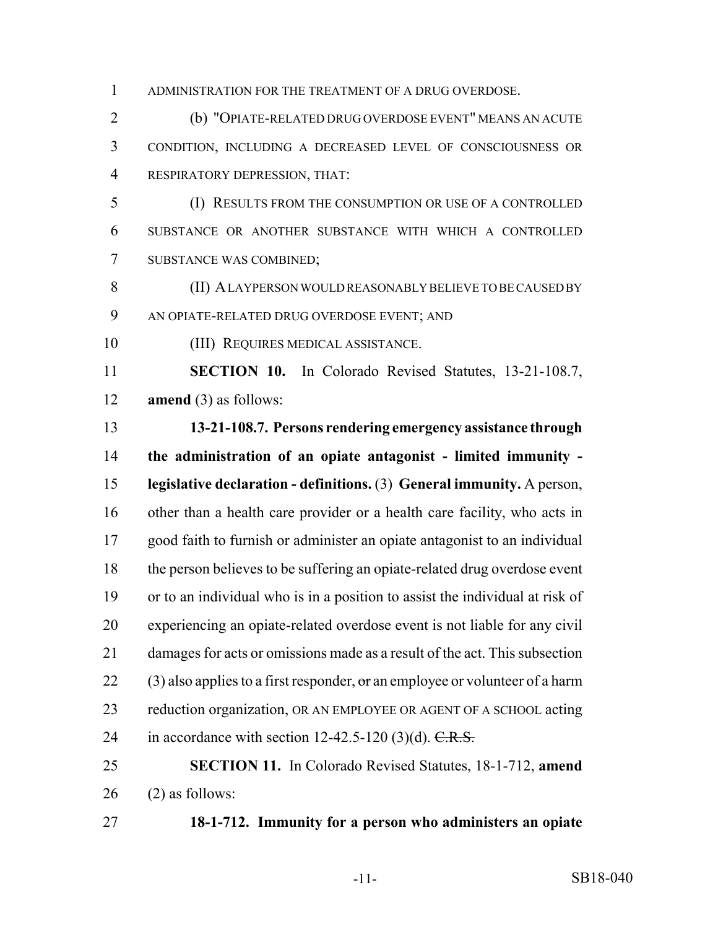ADMINISTRATION FOR THE TREATMENT OF A DRUG OVERDOSE.

 (b) "OPIATE-RELATED DRUG OVERDOSE EVENT" MEANS AN ACUTE CONDITION, INCLUDING A DECREASED LEVEL OF CONSCIOUSNESS OR RESPIRATORY DEPRESSION, THAT:

 (I) RESULTS FROM THE CONSUMPTION OR USE OF A CONTROLLED SUBSTANCE OR ANOTHER SUBSTANCE WITH WHICH A CONTROLLED SUBSTANCE WAS COMBINED;

 (II) A LAYPERSON WOULD REASONABLY BELIEVE TO BE CAUSED BY AN OPIATE-RELATED DRUG OVERDOSE EVENT; AND

(III) REQUIRES MEDICAL ASSISTANCE.

 **SECTION 10.** In Colorado Revised Statutes, 13-21-108.7, **amend** (3) as follows:

 **13-21-108.7. Persons rendering emergency assistance through the administration of an opiate antagonist - limited immunity - legislative declaration - definitions.** (3) **General immunity.** A person, other than a health care provider or a health care facility, who acts in good faith to furnish or administer an opiate antagonist to an individual the person believes to be suffering an opiate-related drug overdose event or to an individual who is in a position to assist the individual at risk of experiencing an opiate-related overdose event is not liable for any civil damages for acts or omissions made as a result of the act. This subsection 22 (3) also applies to a first responder,  $\sigma$  an employee or volunteer of a harm reduction organization, OR AN EMPLOYEE OR AGENT OF A SCHOOL acting 24 in accordance with section 12-42.5-120 (3)(d).  $C.R.S.$ 

 **SECTION 11.** In Colorado Revised Statutes, 18-1-712, **amend** (2) as follows:

**18-1-712. Immunity for a person who administers an opiate**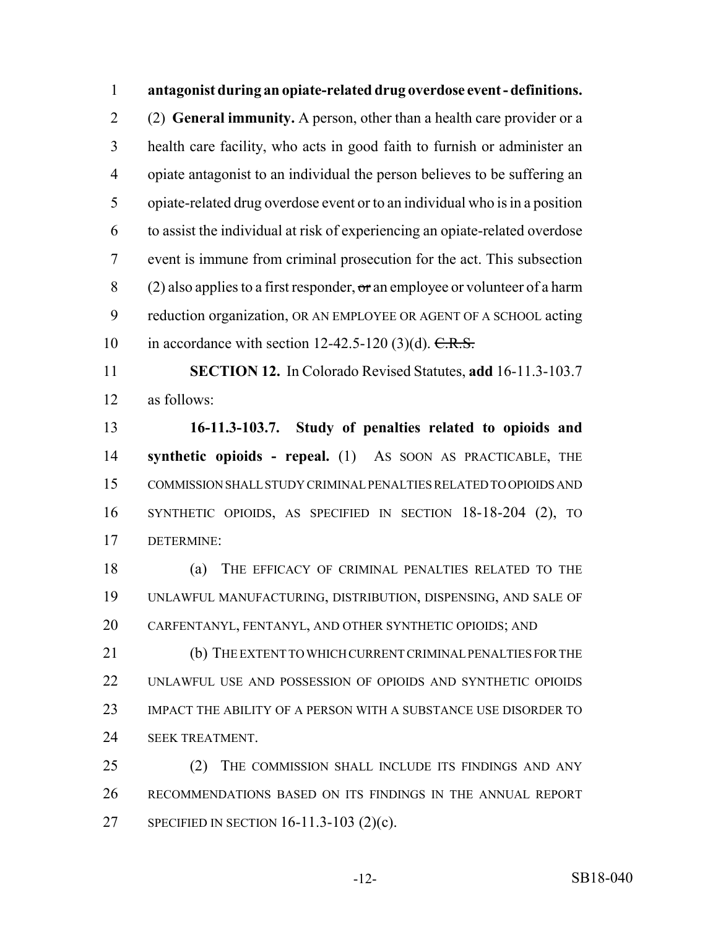**antagonist during an opiate-related drug overdose event - definitions.** (2) **General immunity.** A person, other than a health care provider or a health care facility, who acts in good faith to furnish or administer an opiate antagonist to an individual the person believes to be suffering an opiate-related drug overdose event or to an individual who is in a position to assist the individual at risk of experiencing an opiate-related overdose event is immune from criminal prosecution for the act. This subsection 8 (2) also applies to a first responder,  $\sigma$  an employee or volunteer of a harm reduction organization, OR AN EMPLOYEE OR AGENT OF A SCHOOL acting 10 in accordance with section  $12-42.5-120$  (3)(d).  $C.R.S.$ 

 **SECTION 12.** In Colorado Revised Statutes, **add** 16-11.3-103.7 as follows:

 **16-11.3-103.7. Study of penalties related to opioids and synthetic opioids - repeal.** (1) AS SOON AS PRACTICABLE, THE COMMISSION SHALL STUDY CRIMINAL PENALTIES RELATED TO OPIOIDS AND SYNTHETIC OPIOIDS, AS SPECIFIED IN SECTION 18-18-204 (2), TO DETERMINE:

 (a) THE EFFICACY OF CRIMINAL PENALTIES RELATED TO THE UNLAWFUL MANUFACTURING, DISTRIBUTION, DISPENSING, AND SALE OF CARFENTANYL, FENTANYL, AND OTHER SYNTHETIC OPIOIDS; AND

 (b) THE EXTENT TO WHICH CURRENT CRIMINAL PENALTIES FOR THE UNLAWFUL USE AND POSSESSION OF OPIOIDS AND SYNTHETIC OPIOIDS IMPACT THE ABILITY OF A PERSON WITH A SUBSTANCE USE DISORDER TO **SEEK TREATMENT.** 

25 (2) THE COMMISSION SHALL INCLUDE ITS FINDINGS AND ANY RECOMMENDATIONS BASED ON ITS FINDINGS IN THE ANNUAL REPORT SPECIFIED IN SECTION 16-11.3-103 (2)(c).